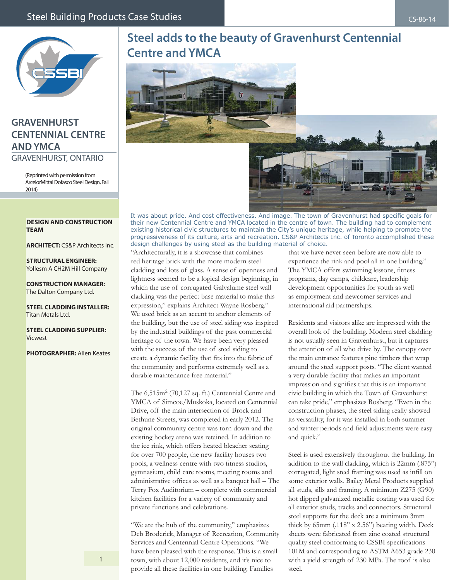

## **GRAVENHURST CENTENNIAL CENTRE AND YMCA** GRAVENHURST, ONTARIO

(Reprinted with permission from ArcelorMittal Dofasco Steel Design, Fall 2014)

## **Steel adds to the beauty of Gravenhurst Centennial Centre and YMCA**



It was about pride. And cost effectiveness. And image. The town of Gravenhurst had specific goals for their new Centennial Centre and YMCA located in the centre of town. The building had to complement existing historical civic structures to maintain the City's unique heritage, while helping to promote the progressiveness of its culture, arts and recreation. CS&P Architects Inc. of Toronto accomplished these design challenges by using steel as the building material of choice.

## **DESIGN AND CONSTRUCTION TEAM**

**ARCHITECT:** CS&P Architects Inc.

**STRUCTURAL ENGINEER:** Yollesm A CH2M Hill Company

**CONSTRUCTION MANAGER:** The Dalton Company Ltd.

**STEEL CLADDING INSTALLER:** Titan Metals Ltd.

**STEEL CLADDING SUPPLIER:** Vicwest

**PHOTOGRAPHER:** Allen Keates

"Architecturally, it is a showcase that combines red heritage brick with the more modern steel cladding and lots of glass. A sense of openness and lightness seemed to be a logical design beginning, in which the use of corrugated Galvalume steel wall cladding was the perfect base material to make this expression," explains Architect Wayne Rosberg." We used brick as an accent to anchor elements of the building, but the use of steel siding was inspired by the industrial buildings of the past commercial heritage of the town. We have been very pleased with the success of the use of steel siding to create a dynamic facility that fits into the fabric of the community and performs extremely well as a durable maintenance free material."

The 6,515m<sup>2</sup> (70,127 sq. ft.) Centennial Centre and YMCA of Simcoe/Muskoka, located on Centennial Drive, off the main intersection of Brock and Bethune Streets, was completed in early 2012. The original community centre was torn down and the existing hockey arena was retained. In addition to the ice rink, which offers heated bleacher seating for over 700 people, the new facility houses two pools, a wellness centre with two fitness studios, gymnasium, child care rooms, meeting rooms and administrative offices as well as a banquet hall – The Terry Fox Auditorium – complete with commercial kitchen facilities for a variety of community and private functions and celebrations.

"We are the hub of the community," emphasizes Deb Broderick, Manager of Recreation, Community Services and Centennial Centre Operations. "We have been pleased with the response. This is a small town, with about 12,000 residents, and it's nice to provide all these facilities in one building. Families

that we have never seen before are now able to experience the rink and pool all in one building." The YMCA offers swimming lessons, fitness programs, day camps, childcare, leadership development opportunities for youth as well as employment and newcomer services and international aid partnerships.

Residents and visitors alike are impressed with the overall look of the building. Modern steel cladding is not usually seen in Gravenhurst, but it captures the attention of all who drive by. The canopy over the main entrance features pine timbers that wrap around the steel support posts. "The client wanted a very durable facility that makes an important impression and signifies that this is an important civic building in which the Town of Gravenhurst can take pride," emphasizes Rosberg. "Even in the construction phases, the steel siding really showed its versatility, for it was installed in both summer and winter periods and field adjustments were easy and quick."

Steel is used extensively throughout the building. In addition to the wall cladding, which is 22mm (.875") corrugated, light steel framing was used as infill on some exterior walls. Bailey Metal Products supplied all studs, sills and framing. A minimum Z275 (G90) hot dipped galvanized metallic coating was used for all exterior studs, tracks and connectors. Structural steel supports for the deck are a minimum 3mm thick by 65mm (.118" x 2.56") bearing width. Deck sheets were fabricated from zinc coated structural quality steel conforming to CSSBI specifications 101M and corresponding to ASTM A653 grade 230 with a yield strength of 230 MPa. The roof is also steel.